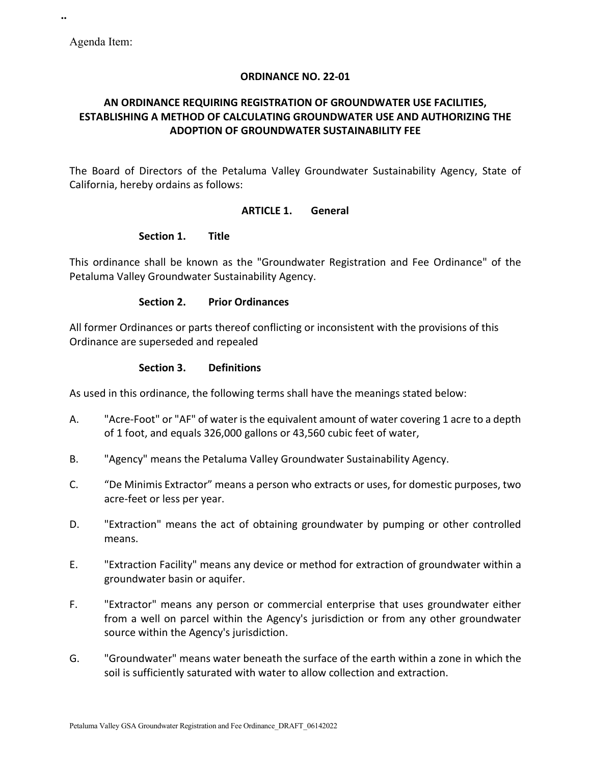**..**

### **ORDINANCE NO. 22-01**

## **AN ORDINANCE REQUIRING REGISTRATION OF GROUNDWATER USE FACILITIES, ESTABLISHING A METHOD OF CALCULATING GROUNDWATER USE AND AUTHORIZING THE ADOPTION OF GROUNDWATER SUSTAINABILITY FEE**

The Board of Directors of the Petaluma Valley Groundwater Sustainability Agency, State of California, hereby ordains as follows:

#### **ARTICLE 1. General**

#### **Section 1. Title**

This ordinance shall be known as the "Groundwater Registration and Fee Ordinance" of the Petaluma Valley Groundwater Sustainability Agency.

### **Section 2. Prior Ordinances**

All former Ordinances or parts thereof conflicting or inconsistent with the provisions of this Ordinance are superseded and repealed

#### **Section 3. Definitions**

As used in this ordinance, the following terms shall have the meanings stated below:

- A. "Acre-Foot" or "AF" of water is the equivalent amount of water covering 1 acre to a depth of 1 foot, and equals 326,000 gallons or 43,560 cubic feet of water,
- B. "Agency" means the Petaluma Valley Groundwater Sustainability Agency.
- C. "De Minimis Extractor" means a person who extracts or uses, for domestic purposes, two acre-feet or less per year.
- D. "Extraction" means the act of obtaining groundwater by pumping or other controlled means.
- E. "Extraction Facility" means any device or method for extraction of groundwater within a groundwater basin or aquifer.
- F. "Extractor" means any person or commercial enterprise that uses groundwater either from a well on parcel within the Agency's jurisdiction or from any other groundwater source within the Agency's jurisdiction.
- G. "Groundwater" means water beneath the surface of the earth within a zone in which the soil is sufficiently saturated with water to allow collection and extraction.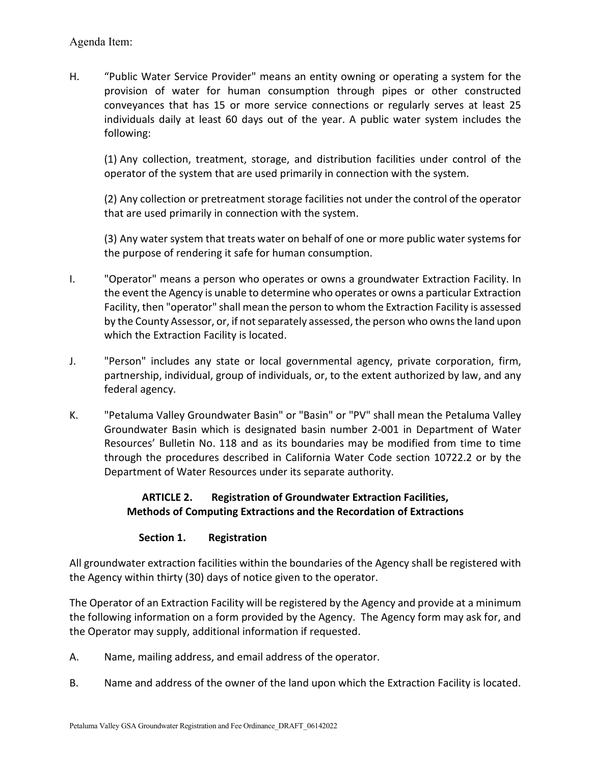H. "Public Water Service Provider" means an entity owning or operating a system for the provision of water for human consumption through pipes or other constructed conveyances that has 15 or more service connections or regularly serves at least 25 individuals daily at least 60 days out of the year. A public water system includes the following:

(1) Any collection, treatment, storage, and distribution facilities under control of the operator of the system that are used primarily in connection with the system.

(2) Any collection or pretreatment storage facilities not under the control of the operator that are used primarily in connection with the system.

(3) Any water system that treats water on behalf of one or more public water systems for the purpose of rendering it safe for human consumption.

- I. "Operator" means a person who operates or owns a groundwater Extraction Facility. In the event the Agency is unable to determine who operates or owns a particular Extraction Facility, then "operator" shall mean the person to whom the Extraction Facility is assessed by the County Assessor, or, if not separately assessed, the person who owns the land upon which the Extraction Facility is located.
- J. "Person" includes any state or local governmental agency, private corporation, firm, partnership, individual, group of individuals, or, to the extent authorized by law, and any federal agency.
- K. "Petaluma Valley Groundwater Basin" or "Basin" or "PV" shall mean the Petaluma Valley Groundwater Basin which is designated basin number 2-001 in Department of Water Resources' Bulletin No. 118 and as its boundaries may be modified from time to time through the procedures described in California Water Code section 10722.2 or by the Department of Water Resources under its separate authority.

## **ARTICLE 2. Registration of Groundwater Extraction Facilities, Methods of Computing Extractions and the Recordation of Extractions**

## **Section 1. Registration**

All groundwater extraction facilities within the boundaries of the Agency shall be registered with the Agency within thirty (30) days of notice given to the operator.

The Operator of an Extraction Facility will be registered by the Agency and provide at a minimum the following information on a form provided by the Agency. The Agency form may ask for, and the Operator may supply, additional information if requested.

- A. Name, mailing address, and email address of the operator.
- B. Name and address of the owner of the land upon which the Extraction Facility is located.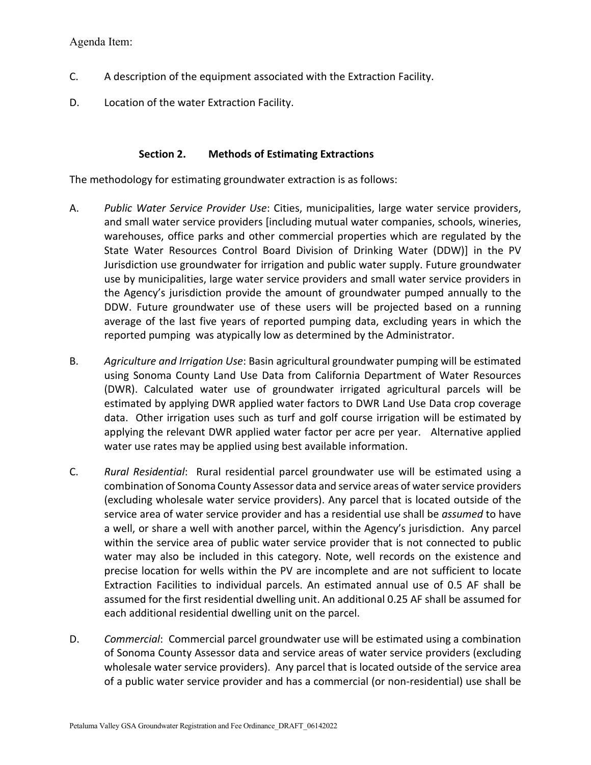Agenda Item:

- C. A description of the equipment associated with the Extraction Facility.
- D. Location of the water Extraction Facility.

#### **Section 2. Methods of Estimating Extractions**

The methodology for estimating groundwater extraction is as follows:

- A. *Public Water Service Provider Use*: Cities, municipalities, large water service providers, and small water service providers [including mutual water companies, schools, wineries, warehouses, office parks and other commercial properties which are regulated by the State Water Resources Control Board Division of Drinking Water (DDW)] in the PV Jurisdiction use groundwater for irrigation and public water supply. Future groundwater use by municipalities, large water service providers and small water service providers in the Agency's jurisdiction provide the amount of groundwater pumped annually to the DDW. Future groundwater use of these users will be projected based on a running average of the last five years of reported pumping data, excluding years in which the reported pumping was atypically low as determined by the Administrator.
- B. *Agriculture and Irrigation Use*: Basin agricultural groundwater pumping will be estimated using Sonoma County Land Use Data from California Department of Water Resources (DWR). Calculated water use of groundwater irrigated agricultural parcels will be estimated by applying DWR applied water factors to DWR Land Use Data crop coverage data. Other irrigation uses such as turf and golf course irrigation will be estimated by applying the relevant DWR applied water factor per acre per year. Alternative applied water use rates may be applied using best available information.
- C. *Rural Residential*: Rural residential parcel groundwater use will be estimated using a combination of Sonoma County Assessor data and service areas of water service providers (excluding wholesale water service providers). Any parcel that is located outside of the service area of water service provider and has a residential use shall be *assumed* to have a well, or share a well with another parcel, within the Agency's jurisdiction. Any parcel within the service area of public water service provider that is not connected to public water may also be included in this category. Note, well records on the existence and precise location for wells within the PV are incomplete and are not sufficient to locate Extraction Facilities to individual parcels. An estimated annual use of 0.5 AF shall be assumed for the first residential dwelling unit. An additional 0.25 AF shall be assumed for each additional residential dwelling unit on the parcel.
- D. *Commercial*: Commercial parcel groundwater use will be estimated using a combination of Sonoma County Assessor data and service areas of water service providers (excluding wholesale water service providers). Any parcel that is located outside of the service area of a public water service provider and has a commercial (or non-residential) use shall be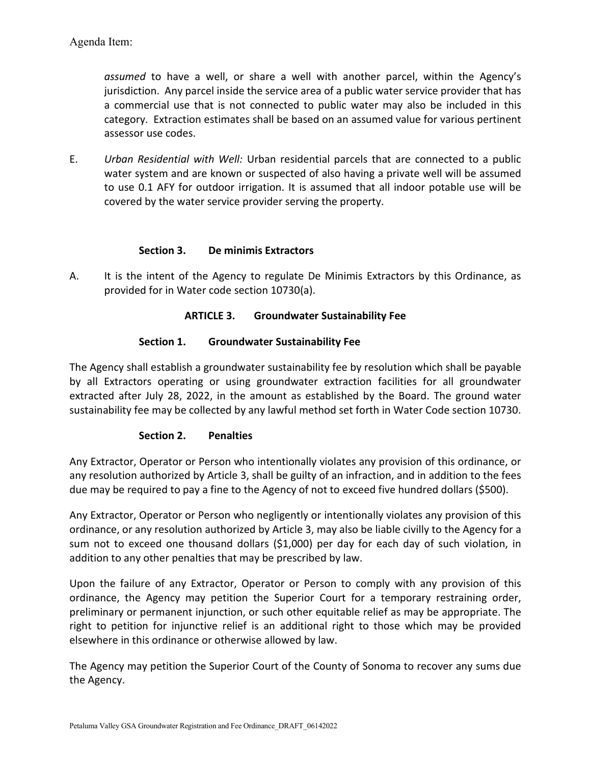*assumed* to have a well, or share a well with another parcel, within the Agency's jurisdiction. Any parcel inside the service area of a public water service provider that has a commercial use that is not connected to public water may also be included in this category. Extraction estimates shall be based on an assumed value for various pertinent assessor use codes.

E. *Urban Residential with Well:* Urban residential parcels that are connected to a public water system and are known or suspected of also having a private well will be assumed to use 0.1 AFY for outdoor irrigation. It is assumed that all indoor potable use will be covered by the water service provider serving the property.

### **Section 3. De minimis Extractors**

A. It is the intent of the Agency to regulate De Minimis Extractors by this Ordinance, as provided for in Water code section 10730(a).

### **ARTICLE 3. Groundwater Sustainability Fee**

### **Section 1. Groundwater Sustainability Fee**

The Agency shall establish a groundwater sustainability fee by resolution which shall be payable by all Extractors operating or using groundwater extraction facilities for all groundwater extracted after July 28, 2022, in the amount as established by the Board. The ground water sustainability fee may be collected by any lawful method set forth in Water Code section 10730.

## **Section 2. Penalties**

Any Extractor, Operator or Person who intentionally violates any provision of this ordinance, or any resolution authorized by Article 3, shall be guilty of an infraction, and in addition to the fees due may be required to pay a fine to the Agency of not to exceed five hundred dollars (\$500).

Any Extractor, Operator or Person who negligently or intentionally violates any provision of this ordinance, or any resolution authorized by Article 3, may also be liable civilly to the Agency for a sum not to exceed one thousand dollars (\$1,000) per day for each day of such violation, in addition to any other penalties that may be prescribed by law.

Upon the failure of any Extractor, Operator or Person to comply with any provision of this ordinance, the Agency may petition the Superior Court for a temporary restraining order, preliminary or permanent injunction, or such other equitable relief as may be appropriate. The right to petition for injunctive relief is an additional right to those which may be provided elsewhere in this ordinance or otherwise allowed by law.

The Agency may petition the Superior Court of the County of Sonoma to recover any sums due the Agency.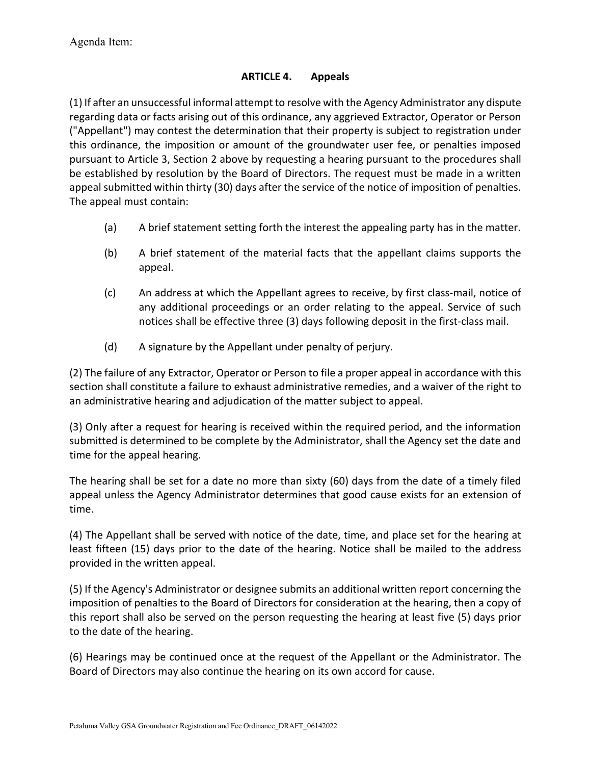## **ARTICLE 4. Appeals**

(1) If after an unsuccessful informal attempt to resolve with the Agency Administrator any dispute regarding data or facts arising out of this ordinance, any aggrieved Extractor, Operator or Person ("Appellant") may contest the determination that their property is subject to registration under this ordinance, the imposition or amount of the groundwater user fee, or penalties imposed pursuant to Article 3, Section 2 above by requesting a hearing pursuant to the procedures shall be established by resolution by the Board of Directors. The request must be made in a written appeal submitted within thirty (30) days after the service of the notice of imposition of penalties. The appeal must contain:

- (a) A brief statement setting forth the interest the appealing party has in the matter.
- (b) A brief statement of the material facts that the appellant claims supports the appeal.
- (c) An address at which the Appellant agrees to receive, by first class-mail, notice of any additional proceedings or an order relating to the appeal. Service of such notices shall be effective three (3) days following deposit in the first-class mail.
- (d) A signature by the Appellant under penalty of perjury.

(2) The failure of any Extractor, Operator or Person to file a proper appeal in accordance with this section shall constitute a failure to exhaust administrative remedies, and a waiver of the right to an administrative hearing and adjudication of the matter subject to appeal.

(3) Only after a request for hearing is received within the required period, and the information submitted is determined to be complete by the Administrator, shall the Agency set the date and time for the appeal hearing.

The hearing shall be set for a date no more than sixty (60) days from the date of a timely filed appeal unless the Agency Administrator determines that good cause exists for an extension of time.

(4) The Appellant shall be served with notice of the date, time, and place set for the hearing at least fifteen (15) days prior to the date of the hearing. Notice shall be mailed to the address provided in the written appeal.

(5) If the Agency's Administrator or designee submits an additional written report concerning the imposition of penalties to the Board of Directors for consideration at the hearing, then a copy of this report shall also be served on the person requesting the hearing at least five (5) days prior to the date of the hearing.

(6) Hearings may be continued once at the request of the Appellant or the Administrator. The Board of Directors may also continue the hearing on its own accord for cause.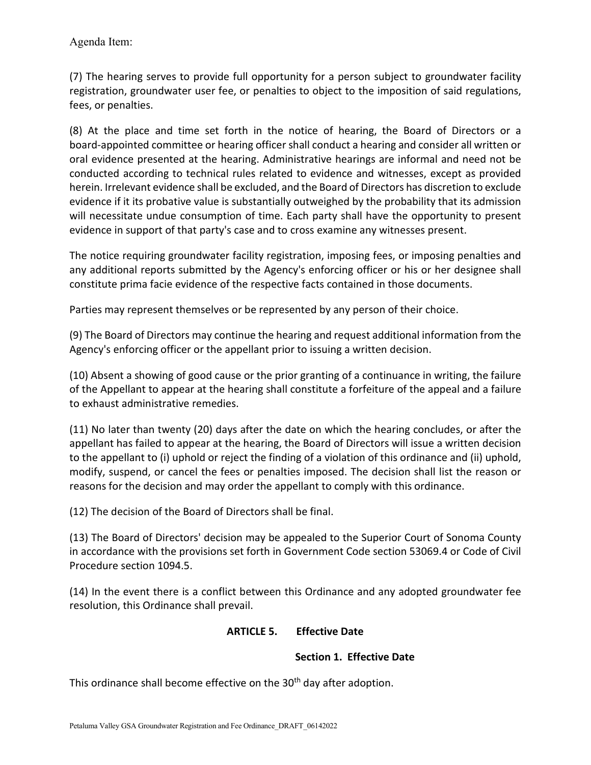(7) The hearing serves to provide full opportunity for a person subject to groundwater facility registration, groundwater user fee, or penalties to object to the imposition of said regulations, fees, or penalties.

(8) At the place and time set forth in the notice of hearing, the Board of Directors or a board-appointed committee or hearing officer shall conduct a hearing and consider all written or oral evidence presented at the hearing. Administrative hearings are informal and need not be conducted according to technical rules related to evidence and witnesses, except as provided herein. Irrelevant evidence shall be excluded, and the Board of Directors has discretion to exclude evidence if it its probative value is substantially outweighed by the probability that its admission will necessitate undue consumption of time. Each party shall have the opportunity to present evidence in support of that party's case and to cross examine any witnesses present.

The notice requiring groundwater facility registration, imposing fees, or imposing penalties and any additional reports submitted by the Agency's enforcing officer or his or her designee shall constitute prima facie evidence of the respective facts contained in those documents.

Parties may represent themselves or be represented by any person of their choice.

(9) The Board of Directors may continue the hearing and request additional information from the Agency's enforcing officer or the appellant prior to issuing a written decision.

(10) Absent a showing of good cause or the prior granting of a continuance in writing, the failure of the Appellant to appear at the hearing shall constitute a forfeiture of the appeal and a failure to exhaust administrative remedies.

(11) No later than twenty (20) days after the date on which the hearing concludes, or after the appellant has failed to appear at the hearing, the Board of Directors will issue a written decision to the appellant to (i) uphold or reject the finding of a violation of this ordinance and (ii) uphold, modify, suspend, or cancel the fees or penalties imposed. The decision shall list the reason or reasons for the decision and may order the appellant to comply with this ordinance.

(12) The decision of the Board of Directors shall be final.

(13) The Board of Directors' decision may be appealed to the Superior Court of Sonoma County in accordance with the provisions set forth in Government Code section 53069.4 or Code of Civil Procedure section 1094.5.

(14) In the event there is a conflict between this Ordinance and any adopted groundwater fee resolution, this Ordinance shall prevail.

## **ARTICLE 5. Effective Date**

## **Section 1. Effective Date**

This ordinance shall become effective on the 30<sup>th</sup> day after adoption.